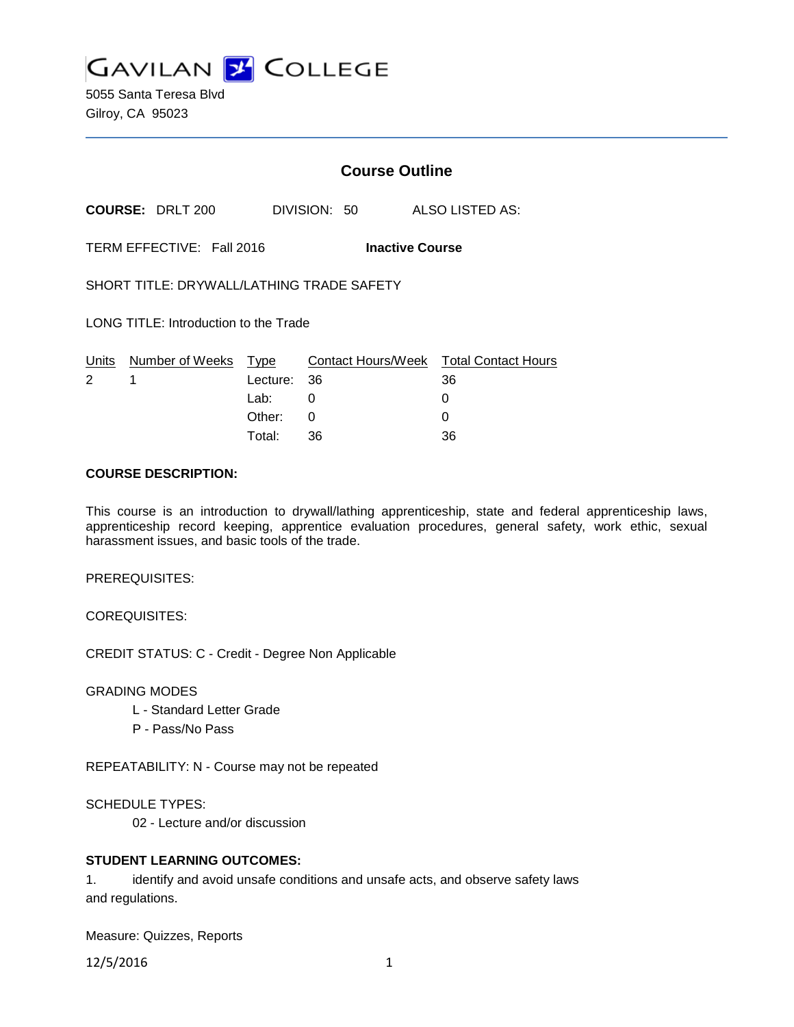**GAVILAN 2 COLLEGE** 

5055 Santa Teresa Blvd Gilroy, CA 95023

# **Course Outline**

**COURSE:** DRLT 200 DIVISION: 50 ALSO LISTED AS:

TERM EFFECTIVE: Fall 2016 **Inactive Course**

SHORT TITLE: DRYWALL/LATHING TRADE SAFETY

LONG TITLE: Introduction to the Trade

|             | Units Number of Weeks Type |             | Contact Hours/Week Total Contact Hours |    |
|-------------|----------------------------|-------------|----------------------------------------|----|
| $2 \quad 1$ |                            | Lecture: 36 |                                        | 36 |
|             |                            | Lab: _      |                                        |    |
|             |                            | Other: 0    |                                        |    |
|             |                            | Total:      | -36                                    | 36 |

#### **COURSE DESCRIPTION:**

This course is an introduction to drywall/lathing apprenticeship, state and federal apprenticeship laws, apprenticeship record keeping, apprentice evaluation procedures, general safety, work ethic, sexual harassment issues, and basic tools of the trade.

PREREQUISITES:

COREQUISITES:

CREDIT STATUS: C - Credit - Degree Non Applicable

GRADING MODES

- L Standard Letter Grade
- P Pass/No Pass

REPEATABILITY: N - Course may not be repeated

SCHEDULE TYPES:

02 - Lecture and/or discussion

#### **STUDENT LEARNING OUTCOMES:**

1. identify and avoid unsafe conditions and unsafe acts, and observe safety laws and regulations.

Measure: Quizzes, Reports

12/5/2016 1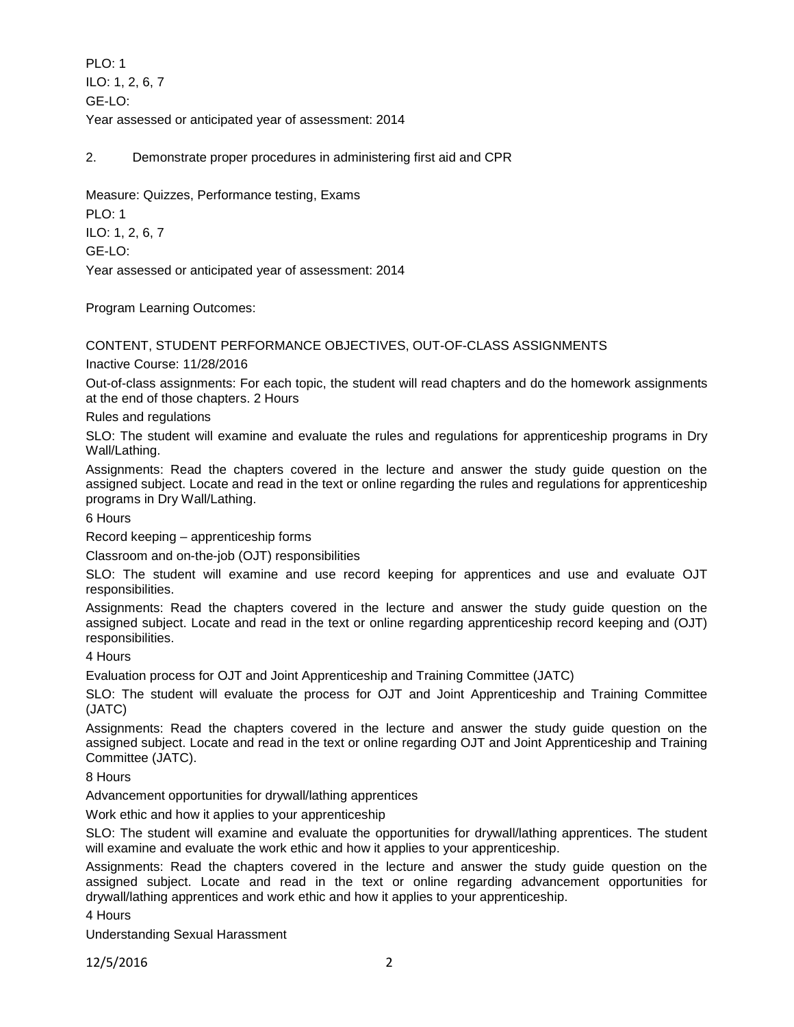PLO: 1 ILO: 1, 2, 6, 7 GE-LO: Year assessed or anticipated year of assessment: 2014

2. Demonstrate proper procedures in administering first aid and CPR

Measure: Quizzes, Performance testing, Exams PLO: 1 ILO: 1, 2, 6, 7 GE-LO: Year assessed or anticipated year of assessment: 2014

Program Learning Outcomes:

CONTENT, STUDENT PERFORMANCE OBJECTIVES, OUT-OF-CLASS ASSIGNMENTS

Inactive Course: 11/28/2016

Out-of-class assignments: For each topic, the student will read chapters and do the homework assignments at the end of those chapters. 2 Hours

Rules and regulations

SLO: The student will examine and evaluate the rules and regulations for apprenticeship programs in Dry Wall/Lathing.

Assignments: Read the chapters covered in the lecture and answer the study guide question on the assigned subject. Locate and read in the text or online regarding the rules and regulations for apprenticeship programs in Dry Wall/Lathing.

6 Hours

Record keeping – apprenticeship forms

Classroom and on-the-job (OJT) responsibilities

SLO: The student will examine and use record keeping for apprentices and use and evaluate OJT responsibilities.

Assignments: Read the chapters covered in the lecture and answer the study guide question on the assigned subject. Locate and read in the text or online regarding apprenticeship record keeping and (OJT) responsibilities.

4 Hours

Evaluation process for OJT and Joint Apprenticeship and Training Committee (JATC)

SLO: The student will evaluate the process for OJT and Joint Apprenticeship and Training Committee (JATC)

Assignments: Read the chapters covered in the lecture and answer the study guide question on the assigned subject. Locate and read in the text or online regarding OJT and Joint Apprenticeship and Training Committee (JATC).

8 Hours

Advancement opportunities for drywall/lathing apprentices

Work ethic and how it applies to your apprenticeship

SLO: The student will examine and evaluate the opportunities for drywall/lathing apprentices. The student will examine and evaluate the work ethic and how it applies to your apprenticeship.

Assignments: Read the chapters covered in the lecture and answer the study guide question on the assigned subject. Locate and read in the text or online regarding advancement opportunities for drywall/lathing apprentices and work ethic and how it applies to your apprenticeship.

4 Hours

Understanding Sexual Harassment

12/5/2016 2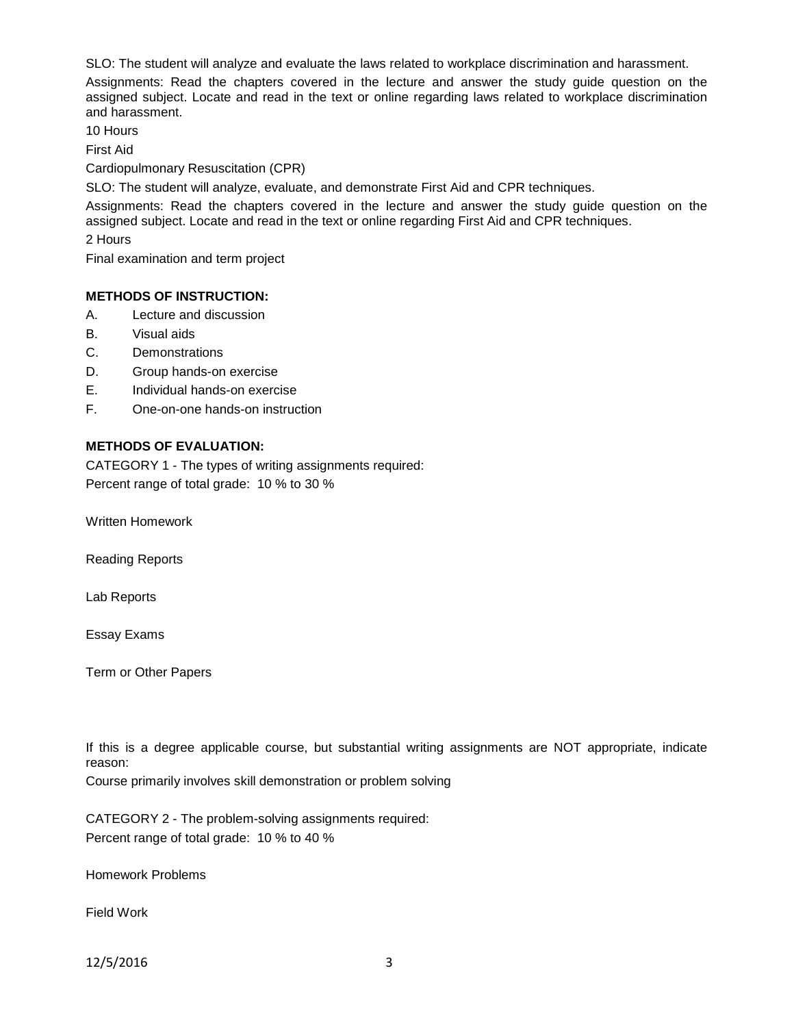SLO: The student will analyze and evaluate the laws related to workplace discrimination and harassment.

Assignments: Read the chapters covered in the lecture and answer the study guide question on the assigned subject. Locate and read in the text or online regarding laws related to workplace discrimination and harassment.

10 Hours

First Aid

Cardiopulmonary Resuscitation (CPR)

SLO: The student will analyze, evaluate, and demonstrate First Aid and CPR techniques.

Assignments: Read the chapters covered in the lecture and answer the study guide question on the assigned subject. Locate and read in the text or online regarding First Aid and CPR techniques.

2 Hours

Final examination and term project

### **METHODS OF INSTRUCTION:**

- A. Lecture and discussion
- B. Visual aids
- C. Demonstrations
- D. Group hands-on exercise
- E. Individual hands-on exercise
- F. One-on-one hands-on instruction

### **METHODS OF EVALUATION:**

CATEGORY 1 - The types of writing assignments required: Percent range of total grade: 10 % to 30 %

Written Homework

Reading Reports

Lab Reports

Essay Exams

Term or Other Papers

If this is a degree applicable course, but substantial writing assignments are NOT appropriate, indicate reason:

Course primarily involves skill demonstration or problem solving

CATEGORY 2 - The problem-solving assignments required: Percent range of total grade: 10 % to 40 %

Homework Problems

Field Work

12/5/2016 3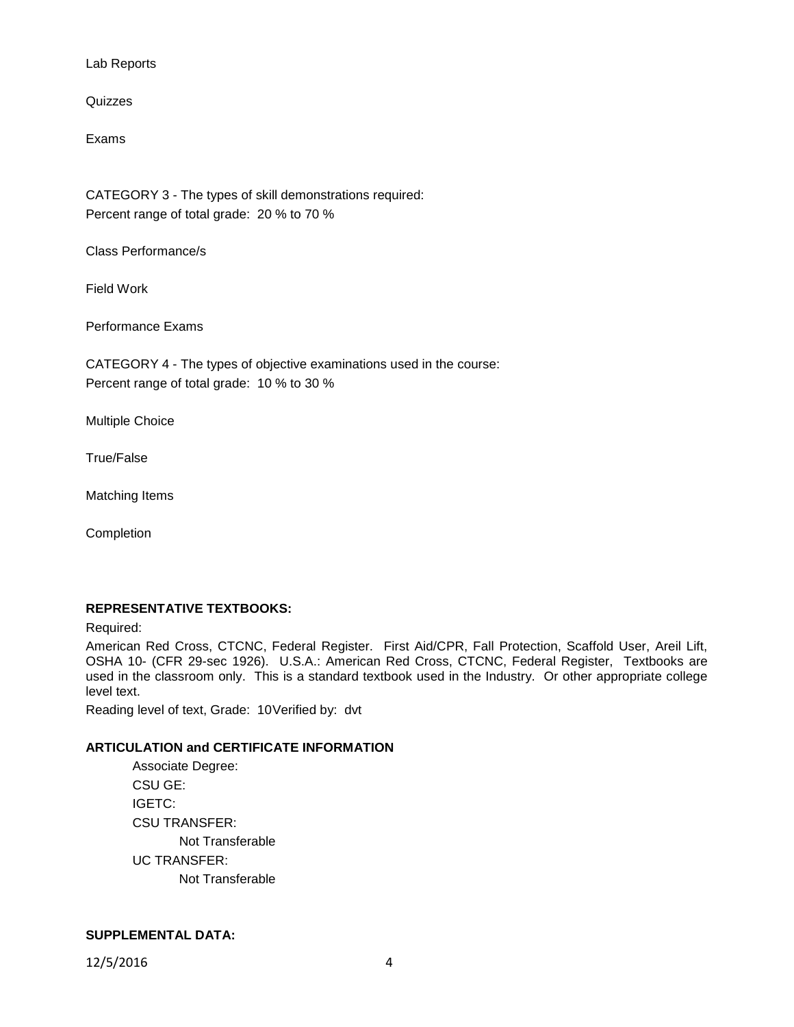Lab Reports

Quizzes

Exams

CATEGORY 3 - The types of skill demonstrations required: Percent range of total grade: 20 % to 70 %

Class Performance/s

Field Work

Performance Exams

CATEGORY 4 - The types of objective examinations used in the course: Percent range of total grade: 10 % to 30 %

Multiple Choice

True/False

Matching Items

Completion

# **REPRESENTATIVE TEXTBOOKS:**

Required:

American Red Cross, CTCNC, Federal Register. First Aid/CPR, Fall Protection, Scaffold User, Areil Lift, OSHA 10- (CFR 29-sec 1926). U.S.A.: American Red Cross, CTCNC, Federal Register, Textbooks are used in the classroom only. This is a standard textbook used in the Industry. Or other appropriate college level text.

Reading level of text, Grade: 10Verified by: dvt

### **ARTICULATION and CERTIFICATE INFORMATION**

Associate Degree: CSU GE: IGETC: CSU TRANSFER: Not Transferable UC TRANSFER: Not Transferable

### **SUPPLEMENTAL DATA:**